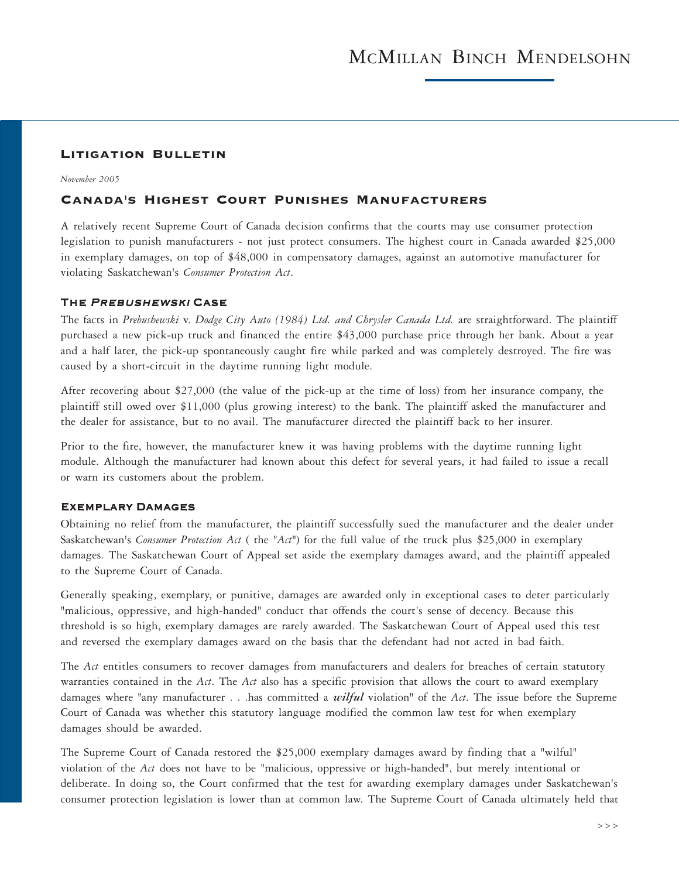# Litigation Bulletin

*November 2005*

### Canada's Highest Court Punishes Manufacturers

A relatively recent Supreme Court of Canada decision confirms that the courts may use consumer protection legislation to punish manufacturers - not just protect consumers. The highest court in Canada awarded \$25,000 in exemplary damages, on top of \$48,000 in compensatory damages, against an automotive manufacturer for violating Saskatchewan's *Consumer Protection Act*.

### THE PREBUSHEWSKI CASE

The facts in *Prebushewski* v. *Dodge City Auto (1984) Ltd. and Chrysler Canada Ltd.* are straightforward. The plaintiff purchased a new pick-up truck and financed the entire \$43,000 purchase price through her bank. About a year and a half later, the pick-up spontaneously caught fire while parked and was completely destroyed. The fire was caused by a short-circuit in the daytime running light module.

After recovering about \$27,000 (the value of the pick-up at the time of loss) from her insurance company, the plaintiff still owed over \$11,000 (plus growing interest) to the bank. The plaintiff asked the manufacturer and the dealer for assistance, but to no avail. The manufacturer directed the plaintiff back to her insurer.

Prior to the fire, however, the manufacturer knew it was having problems with the daytime running light module. Although the manufacturer had known about this defect for several years, it had failed to issue a recall or warn its customers about the problem.

## Exemplary Damages

Obtaining no relief from the manufacturer, the plaintiff successfully sued the manufacturer and the dealer under Saskatchewan's *Consumer Protection Act* ( the *"Act"*) for the full value of the truck plus \$25,000 in exemplary damages. The Saskatchewan Court of Appeal set aside the exemplary damages award, and the plaintiff appealed to the Supreme Court of Canada.

Generally speaking, exemplary, or punitive, damages are awarded only in exceptional cases to deter particularly "malicious, oppressive, and high-handed" conduct that offends the court's sense of decency. Because this threshold is so high, exemplary damages are rarely awarded. The Saskatchewan Court of Appeal used this test and reversed the exemplary damages award on the basis that the defendant had not acted in bad faith.

The *Act* entitles consumers to recover damages from manufacturers and dealers for breaches of certain statutory warranties contained in the *Act*. The *Act* also has a specific provision that allows the court to award exemplary damages where "any manufacturer . . .has committed a *wilful* violation" of the *Act*. The issue before the Supreme Court of Canada was whether this statutory language modified the common law test for when exemplary damages should be awarded.

The Supreme Court of Canada restored the \$25,000 exemplary damages award by finding that a "wilful" violation of the *Act* does not have to be "malicious, oppressive or high-handed", but merely intentional or deliberate. In doing so, the Court confirmed that the test for awarding exemplary damages under Saskatchewan's consumer protection legislation is lower than at common law. The Supreme Court of Canada ultimately held that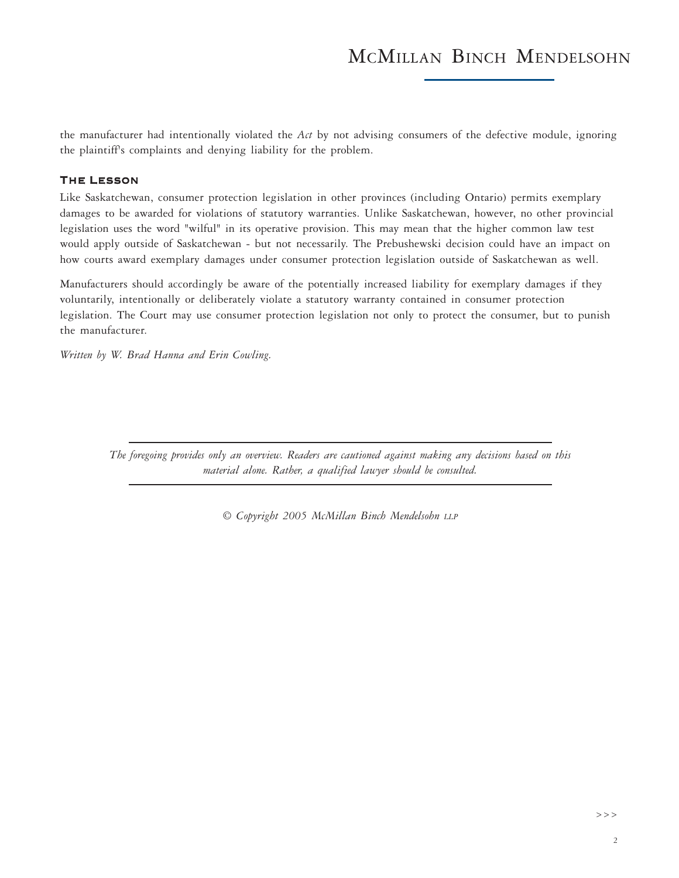the manufacturer had intentionally violated the *Act* by not advising consumers of the defective module, ignoring the plaintiff's complaints and denying liability for the problem.

# The Lesson

Like Saskatchewan, consumer protection legislation in other provinces (including Ontario) permits exemplary damages to be awarded for violations of statutory warranties. Unlike Saskatchewan, however, no other provincial legislation uses the word "wilful" in its operative provision. This may mean that the higher common law test would apply outside of Saskatchewan - but not necessarily. The Prebushewski decision could have an impact on how courts award exemplary damages under consumer protection legislation outside of Saskatchewan as well.

Manufacturers should accordingly be aware of the potentially increased liability for exemplary damages if they voluntarily, intentionally or deliberately violate a statutory warranty contained in consumer protection legislation. The Court may use consumer protection legislation not only to protect the consumer, but to punish the manufacturer.

*Written by W. Brad Hanna and Erin Cowling.*

*The foregoing provides only an overview. Readers are cautioned against making any decisions based on this material alone. Rather, a qualified lawyer should be consulted.*

© *Copyright 2005 McMillan Binch Mendelsohn LLP*